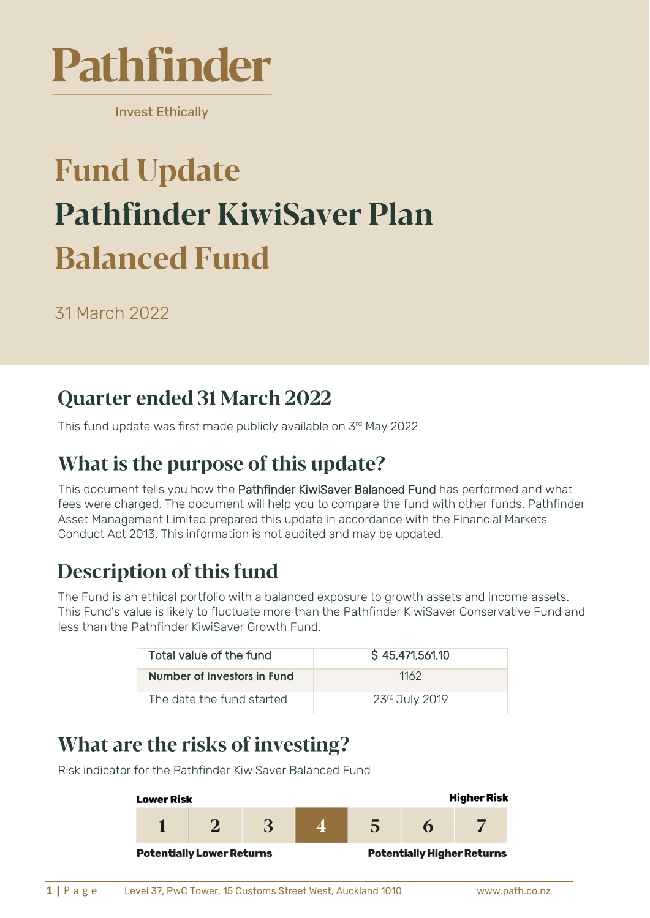

**Invest Ethically** 

# **Fund Update Pathfinder KiwiSaver Plan Balanced Fund**

31 March 2022

### **Quarter ended 31 March 2022**

This fund update was first made publicly available on 3 rd May 2022

### What is the purpose of this update?

This document tells you how the Pathfinder KiwiSaver Balanced Fund has performed and what fees were charged. The document will help you to compare the fund with other funds. Pathfinder Asset Management Limited prepared this update in accordance with the Financial Markets Conduct Act 2013. This information is not audited and may be updated.

## **Description of this fund**

The Fund is an ethical portfolio with a balanced exposure to growth assets and income assets. This Fund's value is likely to fluctuate more than the Pathfinder KiwiSaver Conservative Fund and less than the Pathfinder KiwiSaver Growth Fund.

| Total value of the fund     | S 45,471,561.10 |
|-----------------------------|-----------------|
| Number of Investors in Fund | 1162            |
| The date the fund started   | 23rd July 2019  |

### What are the risks of investing?

Risk indicator for the Pathfinder KiwiSaver Balanced Fund

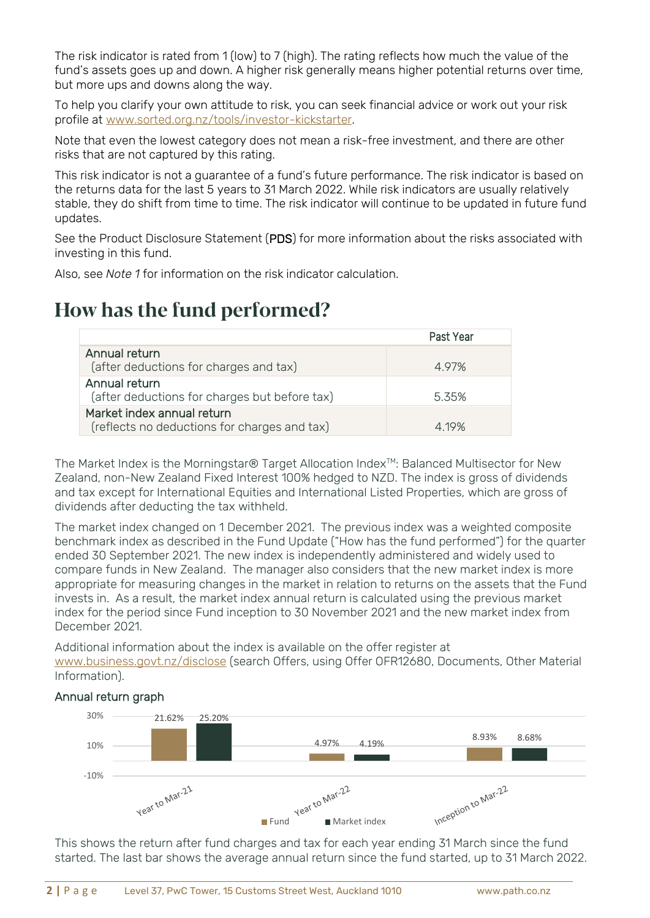The risk indicator is rated from 1 (low) to 7 (high). The rating reflects how much the value of the fund's assets goes up and down. A higher risk generally means higher potential returns over time, but more ups and downs along the way.

To help you clarify your own attitude to risk, you can seek financial advice or work out your risk profile at [www.sorted.org.nz/tools/investor-kickstarter.](http://www.sorted.org.nz/tools/investor-kickstarter)

Note that even the lowest category does not mean a risk-free investment, and there are other risks that are not captured by this rating.

This risk indicator is not a guarantee of a fund's future performance. The risk indicator is based on the returns data for the last 5 years to 31 March 2022. While risk indicators are usually relatively stable, they do shift from time to time. The risk indicator will continue to be updated in future fund updates.

See the Product Disclosure Statement (PDS) for more information about the risks associated with investing in this fund.

Also, see *Note 1* for information on the risk indicator calculation.

#### How has the fund performed?

|                                                                            | Past Year |
|----------------------------------------------------------------------------|-----------|
| Annual return<br>(after deductions for charges and tax)                    | 497%      |
| Annual return<br>(after deductions for charges but before tax)             | 535%      |
| Market index annual return<br>(reflects no deductions for charges and tax) | 4 19%     |

The Market Index is the Morningstar® Target Allocation Index<sup>™</sup>: Balanced Multisector for New Zealand, non-New Zealand Fixed Interest 100% hedged to NZD. The index is gross of dividends and tax except for International Equities and International Listed Properties, which are gross of dividends after deducting the tax withheld.

The market index changed on 1 December 2021. The previous index was a weighted composite benchmark index as described in the Fund Update ("How has the fund performed") for the quarter ended 30 September 2021. The new index is independently administered and widely used to compare funds in New Zealand. The manager also considers that the new market index is more appropriate for measuring changes in the market in relation to returns on the assets that the Fund invests in. As a result, the market index annual return is calculated using the previous market index for the period since Fund inception to 30 November 2021 and the new market index from December 2021.

Additional information about the index is available on the offer register at [www.business.govt.nz/disclose](http://www.business.govt.nz/disclose) (search Offers, using Offer OFR12680, Documents, Other Material Information).

#### Annual return graph



This shows the return after fund charges and tax for each year ending 31 March since the fund started. The last bar shows the average annual return since the fund started, up to 31 March 2022.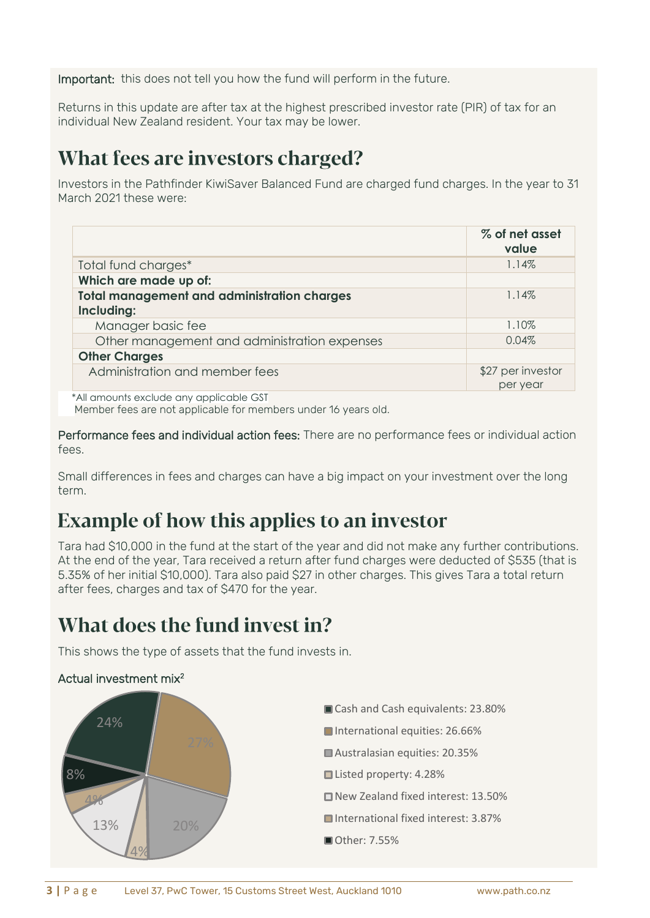Important: this does not tell you how the fund will perform in the future.

Returns in this update are after tax at the highest prescribed investor rate (PIR) of tax for an individual New Zealand resident. Your tax may be lower.

#### What fees are investors charged?

Investors in the Pathfinder KiwiSaver Balanced Fund are charged fund charges. In the year to 31 March 2021 these were:

|                                                                  | % of net asset<br>value       |
|------------------------------------------------------------------|-------------------------------|
| Total fund charges*                                              | 1.14%                         |
| Which are made up of:                                            |                               |
| <b>Total management and administration charges</b><br>Including: | 1.14%                         |
| Manager basic fee                                                | 1.10%                         |
| Other management and administration expenses                     | 0.04%                         |
| <b>Other Charges</b>                                             |                               |
| Administration and member fees                                   | \$27 per investor<br>per year |

 \*All amounts exclude any applicable GST Member fees are not applicable for members under 16 years old.

Performance fees and individual action fees: There are no performance fees or individual action fees.

Small differences in fees and charges can have a big impact on your investment over the long term.

### **Example of how this applies to an investor**

Tara had \$10,000 in the fund at the start of the year and did not make any further contributions. At the end of the year, Tara received a return after fund charges were deducted of \$535 (that is 5.35% of her initial \$10,000). Tara also paid \$27 in other charges. This gives Tara a total return after fees, charges and tax of \$470 for the year.

### What does the fund invest in?

This shows the type of assets that the fund invests in.

#### Actual investment mix<sup>2</sup>

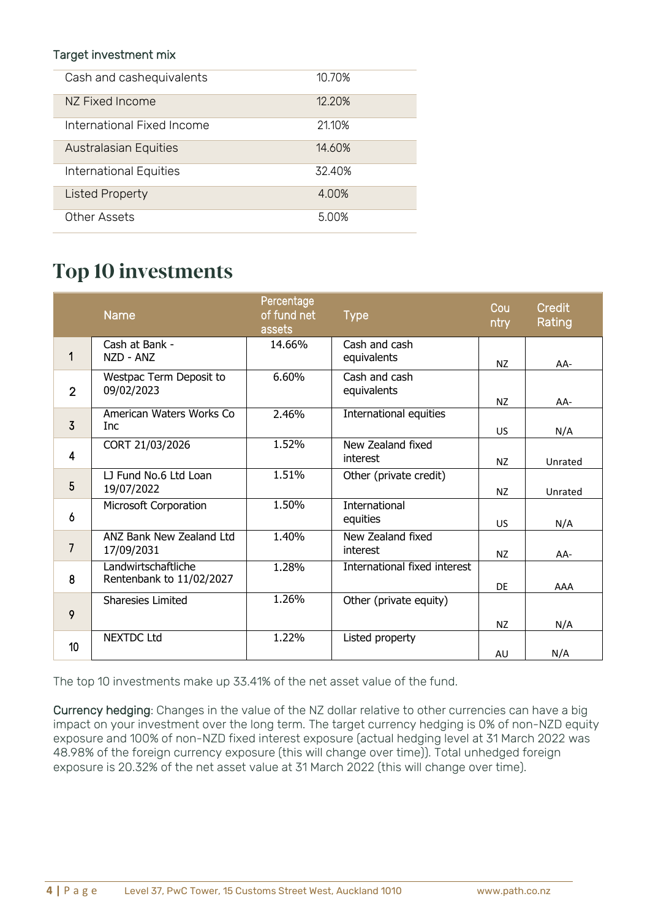#### Target investment mix

| Cash and cashequivalents     | 10.70% |
|------------------------------|--------|
| NZ Fixed Income              | 12.20% |
| International Fixed Income   | 21.10% |
| <b>Australasian Equities</b> | 14.60% |
| International Equities       | 32.40% |
| <b>Listed Property</b>       | 4.00%  |
| Other Assets                 | 5.00%  |

#### **Top 10 investments**

|                | <b>Name</b>                                     | Percentage<br>of fund net<br>assets | Type                          | Cou<br>ntry | Credit<br>Rating |
|----------------|-------------------------------------------------|-------------------------------------|-------------------------------|-------------|------------------|
| 1              | Cash at Bank -<br>NZD - ANZ                     | 14.66%                              | Cash and cash<br>equivalents  | <b>NZ</b>   | AA-              |
| $\overline{2}$ | Westpac Term Deposit to<br>09/02/2023           | 6.60%                               | Cash and cash<br>equivalents  | NZ          | AA-              |
| $\overline{3}$ | American Waters Works Co<br>Inc                 | 2.46%                               | International equities        | <b>US</b>   | N/A              |
| $\overline{4}$ | CORT 21/03/2026                                 | 1.52%                               | New Zealand fixed<br>interest | NZ          | Unrated          |
| 5              | LJ Fund No.6 Ltd Loan<br>19/07/2022             | 1.51%                               | Other (private credit)        | NZ          | Unrated          |
| 6              | Microsoft Corporation                           | 1.50%                               | International<br>equities     | <b>US</b>   | N/A              |
| $\overline{7}$ | <b>ANZ Bank New Zealand Ltd</b><br>17/09/2031   | 1.40%                               | New Zealand fixed<br>interest | NZ          | $AA-$            |
| 8              | Landwirtschaftliche<br>Rentenbank to 11/02/2027 | 1.28%                               | International fixed interest  | <b>DE</b>   | AAA              |
| 9              | <b>Sharesies Limited</b>                        | 1.26%                               | Other (private equity)        | NZ          | N/A              |
| 10             | <b>NEXTDC Ltd</b>                               | 1.22%                               | Listed property               | AU          | N/A              |

The top 10 investments make up 33.41% of the net asset value of the fund.

Currency hedging: Changes in the value of the NZ dollar relative to other currencies can have a big impact on your investment over the long term. The target currency hedging is 0% of non-NZD equity exposure and 100% of non-NZD fixed interest exposure (actual hedging level at 31 March 2022 was 48.98% of the foreign currency exposure (this will change over time)). Total unhedged foreign exposure is 20.32% of the net asset value at 31 March 2022 (this will change over time).